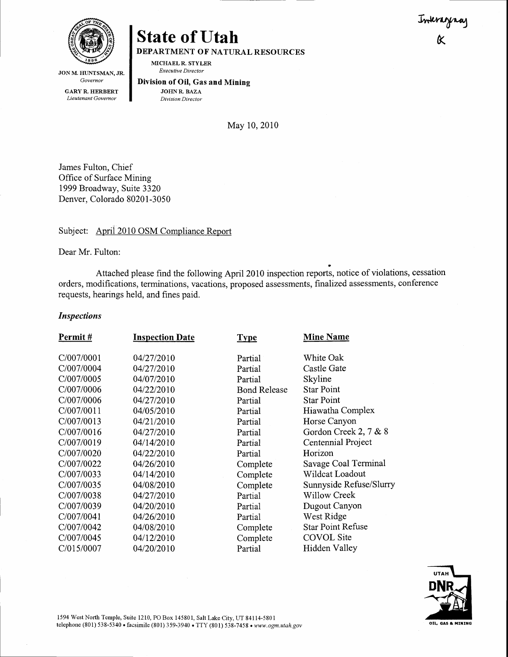Inkragnay



JON M. HUNTSMAN, JR. Governor

GARY R. HERBERT Lieutenant Govemor

# **State of Utah**

DEPARTMENT OF NATURAL RESOURCES

MICHAELR. STYLER Executive Director

Division of OiI, Gas and Mining JOHNR. BAZA

Division Director

Mav 10. 2010

James Fulton, Chief Office of Surface Mining 1999 Broadway, Suite 3320 Denver, Colorado 80201-3050

## Subject: Aprii 2010 OSM Compliance Report

Dear Mr. Fulton:

Attached please find the following April 2010 inspection reports, notice of violations, cessation orders, modifications, terminations, vacations, proposed assessments, finalized assessments, conference requests, hearings held, and fines paid.

#### Inspections

| Permit#    | <b>Inspection Date</b> | <b>Type</b>         | <b>Mine Name</b>         |
|------------|------------------------|---------------------|--------------------------|
| C/007/0001 | 04/27/2010             | Partial             | White Oak                |
| C/007/0004 | 04/27/2010             | Partial             | Castle Gate              |
| C/007/0005 | 04/07/2010             | Partial             | Skyline                  |
| C/007/0006 | 04/22/2010             | <b>Bond Release</b> | <b>Star Point</b>        |
| C/007/0006 | 04/27/2010             | Partial             | <b>Star Point</b>        |
| C/007/0011 | 04/05/2010             | Partial             | Hiawatha Complex         |
| C/007/0013 | 04/21/2010             | Partial             | Horse Canyon             |
| C/007/0016 | 04/27/2010             | Partial             | Gordon Creek 2, 7 & 8    |
| C/007/0019 | 04/14/2010             | Partial             | Centennial Project       |
| C/007/0020 | 04/22/2010             | Partial             | Horizon                  |
| C/007/0022 | 04/26/2010             | Complete            | Savage Coal Terminal     |
| C/007/0033 | 04/14/2010             | Complete            | Wildcat Loadout          |
| C/007/0035 | 04/08/2010             | Complete            | Sunnyside Refuse/Slurry  |
| C/007/0038 | 04/27/2010             | Partial             | Willow Creek             |
| C/007/0039 | 04/20/2010             | Partial             | Dugout Canyon            |
| C/007/0041 | 04/26/2010             | Partial             | West Ridge               |
| C/007/0042 | 04/08/2010             | Complete            | <b>Star Point Refuse</b> |
| C/007/0045 | 04/12/2010             | Complete            | <b>COVOL</b> Site        |
| C/015/0007 | 04/20/2010             | Partial             | Hidden Valley            |
|            |                        |                     |                          |